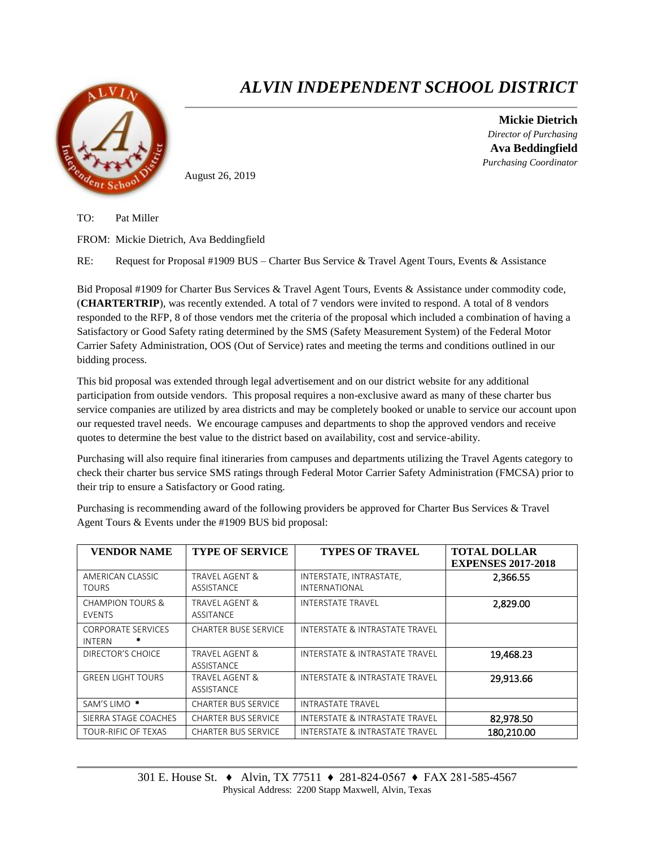

## *ALVIN INDEPENDENT SCHOOL DISTRICT*

**Mickie Dietrich** *Director of Purchasing* **Ava Beddingfield** *Purchasing Coordinator*

August 26, 2019

TO: Pat Miller

FROM: Mickie Dietrich, Ava Beddingfield

RE: Request for Proposal #1909 BUS – Charter Bus Service & Travel Agent Tours, Events & Assistance

Bid Proposal #1909 for Charter Bus Services & Travel Agent Tours, Events & Assistance under commodity code, (**CHARTERTRIP**), was recently extended. A total of 7 vendors were invited to respond. A total of 8 vendors responded to the RFP, 8 of those vendors met the criteria of the proposal which included a combination of having a Satisfactory or Good Safety rating determined by the SMS (Safety Measurement System) of the Federal Motor Carrier Safety Administration, OOS (Out of Service) rates and meeting the terms and conditions outlined in our bidding process.

This bid proposal was extended through legal advertisement and on our district website for any additional participation from outside vendors. This proposal requires a non-exclusive award as many of these charter bus service companies are utilized by area districts and may be completely booked or unable to service our account upon our requested travel needs. We encourage campuses and departments to shop the approved vendors and receive quotes to determine the best value to the district based on availability, cost and service-ability.

Purchasing will also require final itineraries from campuses and departments utilizing the Travel Agents category to check their charter bus service SMS ratings through Federal Motor Carrier Safety Administration (FMCSA) prior to their trip to ensure a Satisfactory or Good rating.

Purchasing is recommending award of the following providers be approved for Charter Bus Services & Travel Agent Tours & Events under the #1909 BUS bid proposal:

| <b>VENDOR NAME</b>                              | <b>TYPE OF SERVICE</b>             | <b>TYPES OF TRAVEL</b>                          | <b>TOTAL DOLLAR</b><br><b>EXPENSES 2017-2018</b> |
|-------------------------------------------------|------------------------------------|-------------------------------------------------|--------------------------------------------------|
| AMERICAN CLASSIC<br><b>TOURS</b>                | TRAVEL AGENT &<br>ASSISTANCE       | INTERSTATE, INTRASTATE,<br><b>INTERNATIONAL</b> | 2,366.55                                         |
| <b>CHAMPION TOURS &amp;</b><br><b>EVENTS</b>    | TRAVEL AGENT &<br><b>ASSITANCE</b> | <b>INTERSTATE TRAVEL</b>                        | 2,829.00                                         |
| <b>CORPORATE SERVICES</b><br>*<br><b>INTERN</b> | <b>CHARTER BUSE SERVICE</b>        | INTERSTATE & INTRASTATE TRAVEL                  |                                                  |
| DIRECTOR'S CHOICE                               | TRAVEL AGENT &<br>ASSISTANCE       | INTERSTATE & INTRASTATE TRAVEL                  | 19,468.23                                        |
| <b>GREEN LIGHT TOURS</b>                        | TRAVEL AGENT &<br>ASSISTANCE       | INTERSTATE & INTRASTATE TRAVEL                  | 29,913.66                                        |
| SAM'S LIMO <sup>*</sup>                         | <b>CHARTER BUS SERVICE</b>         | <b>INTRASTATE TRAVEL</b>                        |                                                  |
| SIERRA STAGE COACHES                            | <b>CHARTER BUS SERVICE</b>         | INTERSTATE & INTRASTATE TRAVEL                  | 82,978.50                                        |
| TOUR-RIFIC OF TEXAS                             | CHARTER BUS SERVICE                | INTERSTATE & INTRASTATE TRAVEL                  | 180.210.00                                       |